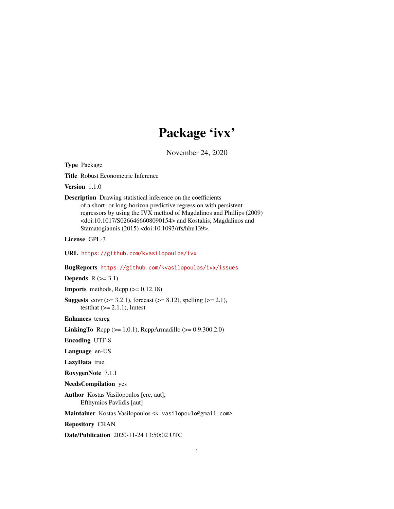# Package 'ivx'

November 24, 2020

<span id="page-0-0"></span>Type Package

Title Robust Econometric Inference

Version 1.1.0

Description Drawing statistical inference on the coefficients of a short- or long-horizon predictive regression with persistent regressors by using the IVX method of Magdalinos and Phillips (2009) <doi:10.1017/S0266466608090154> and Kostakis, Magdalinos and Stamatogiannis (2015) <doi:10.1093/rfs/hhu139>.

License GPL-3

URL <https://github.com/kvasilopoulos/ivx>

BugReports <https://github.com/kvasilopoulos/ivx/issues>

**Depends**  $R$  ( $>= 3.1$ )

**Imports** methods,  $\text{Rcpp}$  ( $>= 0.12.18$ )

**Suggests** covr ( $>= 3.2.1$ ), forecast ( $>= 8.12$ ), spelling ( $>= 2.1$ ), testthat  $(>= 2.1.1)$ , lmtest

Enhances texreg

**LinkingTo** Rcpp ( $>= 1.0.1$ ), RcppArmadillo ( $>= 0.9.300.2.0$ )

Encoding UTF-8

Language en-US

LazyData true

RoxygenNote 7.1.1

NeedsCompilation yes

Author Kostas Vasilopoulos [cre, aut], Efthymios Pavlidis [aut]

Maintainer Kostas Vasilopoulos <k.vasilopoulo@gmail.com>

Repository CRAN

Date/Publication 2020-11-24 13:50:02 UTC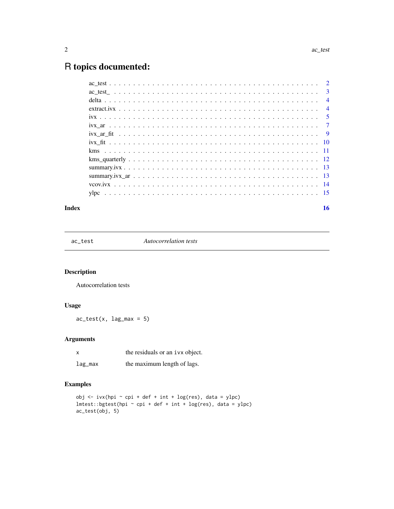## <span id="page-1-0"></span>R topics documented:

|  |  | $\overline{4}$ |
|--|--|----------------|
|  |  |                |
|  |  |                |
|  |  |                |
|  |  |                |
|  |  |                |
|  |  |                |
|  |  |                |
|  |  |                |
|  |  |                |
|  |  |                |
|  |  |                |
|  |  |                |

#### **Index** and the contract of the contract of the contract of the contract of the contract of the contract of the contract of the contract of the contract of the contract of the contract of the contract of the contract of th

ac\_test *Autocorrelation tests*

#### Description

Autocorrelation tests

#### Usage

 $ac\_test(x, lag\_max = 5)$ 

#### Arguments

| x       | the residuals or an ivx object. |
|---------|---------------------------------|
| lag_max | the maximum length of lags.     |

#### Examples

```
obj \le ivx(hpi \le cpi + def + int + log(res), data = ylpc)
lmtest::bgtest(hpi ~ cpi + def + int + log(res), data = ylpc)
ac_test(obj, 5)
```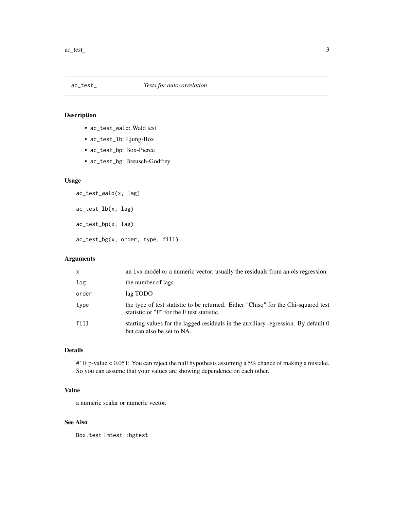<span id="page-2-0"></span>

- ac\_test\_wald: Wald test
- ac\_test\_lb: Ljung-Box
- ac\_test\_bp: Box-Pierce
- ac\_test\_bg: Breusch-Godfrey

#### Usage

ac\_test\_wald(x, lag) ac\_test\_lb(x, lag) ac\_test\_bp(x, lag) ac\_test\_bg(x, order, type, fill)

#### Arguments

| $\mathsf{x}$ | an ivx model or a numeric vector, usually the residuals from an ols regression.                                                  |
|--------------|----------------------------------------------------------------------------------------------------------------------------------|
| lag          | the number of lags.                                                                                                              |
| order        | lag TODO                                                                                                                         |
| type         | the type of test statistic to be returned. Either "Chisq" for the Chi-squared test<br>statistic or "F" for the F test statistic. |
| fill         | starting values for the lagged residuals in the auxiliary regression. By default 0<br>but can also be set to NA.                 |

#### Details

#' If p-value < 0.051: You can reject the null hypothesis assuming a 5% chance of making a mistake. So you can assume that your values are showing dependence on each other.

#### Value

a numeric scalar or numeric vector.

#### See Also

Box.test lmtest::bgtest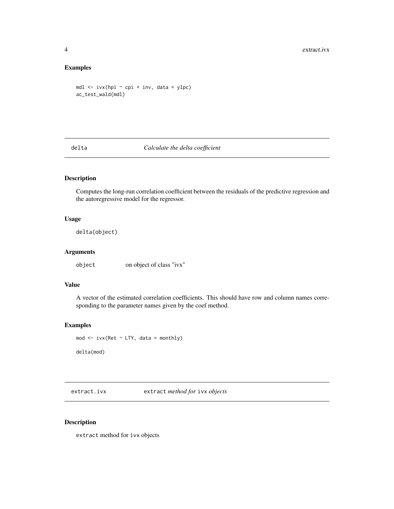#### Examples

```
mdl <- ivx(hpi ~ cpi + inv, data = ylpc)
ac_test_wald(mdl)
```
#### delta *Calculate the delta coefficient*

#### Description

Computes the long-run correlation coefficient between the residuals of the predictive regression and the autoregressive model for the regressor.

#### Usage

delta(object)

#### Arguments

object on object of class "ivx"

#### Value

A vector of the estimated correlation coefficients. This should have row and column names corresponding to the parameter names given by the coef method.

#### Examples

mod  $\le$  ivx(Ret  $\sim$  LTY, data = monthly) delta(mod)

extract.ivx extract *method for* ivx *objects*

#### Description

extract method for ivx objects

<span id="page-3-0"></span>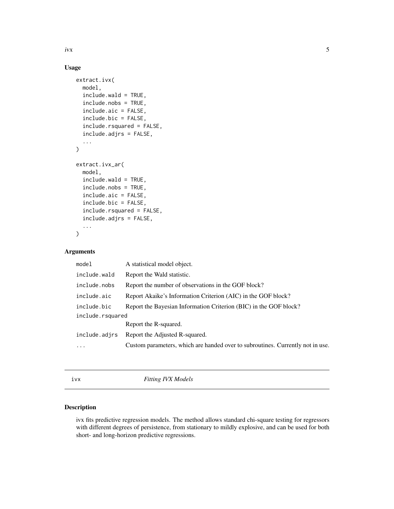#### Usage

```
extract.ivx(
 model,
  include.wald = TRUE,
  include.nobs = TRUE,
  include.aic = FALSE,
  include.bic = FALSE,
  include.rsquared = FALSE,
  include.adjrs = FALSE,
  ...
)
extract.ivx_ar(
  model,
  include.wald = TRUE,
  include.nobs = TRUE,
  include.aic = FALSE,
  include.bic = FALSE,
  include.rsquared = FALSE,
  include.adjrs = FALSE,
  ...
\mathcal{E}
```
#### Arguments

| model            | A statistical model object.                                                    |  |
|------------------|--------------------------------------------------------------------------------|--|
| include.wald     | Report the Wald statistic.                                                     |  |
| include.nobs     | Report the number of observations in the GOF block?                            |  |
| include.aic      | Report Akaike's Information Criterion (AIC) in the GOF block?                  |  |
| include.bic      | Report the Bayesian Information Criterion (BIC) in the GOF block?              |  |
| include.rsquared |                                                                                |  |
|                  | Report the R-squared.                                                          |  |
| include.adjrs    | Report the Adjusted R-squared.                                                 |  |
| .                | Custom parameters, which are handed over to subroutines. Currently not in use. |  |
|                  |                                                                                |  |

<span id="page-4-1"></span>ivx *Fitting IVX Models*

#### Description

ivx fits predictive regression models. The method allows standard chi-square testing for regressors with different degrees of persistence, from stationary to mildly explosive, and can be used for both short- and long-horizon predictive regressions.

<span id="page-4-0"></span> $\frac{1}{2}$  ivx  $\frac{5}{2}$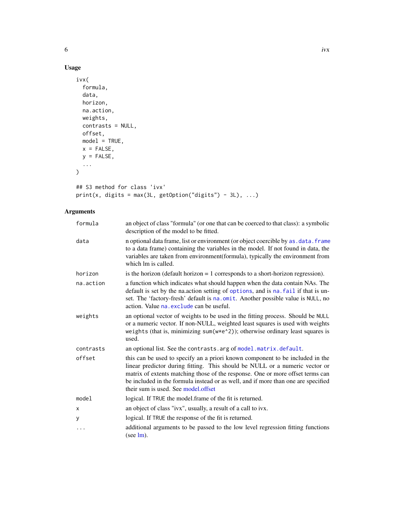#### <span id="page-5-0"></span>Usage

```
ivx(
  formula,
  data,
  horizon,
  na.action,
  weights,
  contrasts = NULL,
  offset,
  model = TRUE,x = FALSE,
  y = FALSE,
  ...
\mathcal{L}## S3 method for class 'ivx'
```

```
print(x, digits = max(3L, getOption("digits") - 3L), ...)
```

| formula   | an object of class "formula" (or one that can be coerced to that class): a symbolic<br>description of the model to be fitted.                                                                                                                                                                                                                                              |
|-----------|----------------------------------------------------------------------------------------------------------------------------------------------------------------------------------------------------------------------------------------------------------------------------------------------------------------------------------------------------------------------------|
| data      | n optional data frame, list or environment (or object coercible by as . data. frame<br>to a data frame) containing the variables in the model. If not found in data, the<br>variables are taken from environment(formula), typically the environment from<br>which lm is called.                                                                                           |
| horizon   | is the horizon (default horizon $= 1$ corresponds to a short-horizon regression).                                                                                                                                                                                                                                                                                          |
| na.action | a function which indicates what should happen when the data contain NAs. The<br>default is set by the na. action setting of options, and is na. fail if that is un-<br>set. The 'factory-fresh' default is na.omit. Another possible value is NULL, no<br>action. Value na. exclude can be useful.                                                                         |
| weights   | an optional vector of weights to be used in the fitting process. Should be NULL<br>or a numeric vector. If non-NULL, weighted least squares is used with weights<br>weights (that is, minimizing sum(w*e^2)); otherwise ordinary least squares is<br>used.                                                                                                                 |
| contrasts | an optional list. See the contrasts. arg of model. matrix. default.                                                                                                                                                                                                                                                                                                        |
| offset    | this can be used to specify an a priori known component to be included in the<br>linear predictor during fitting. This should be NULL or a numeric vector or<br>matrix of extents matching those of the response. One or more offset terms can<br>be included in the formula instead or as well, and if more than one are specified<br>their sum is used. See model.offset |
| model     | logical. If TRUE the model.frame of the fit is returned.                                                                                                                                                                                                                                                                                                                   |
| х         | an object of class "ivx", usually, a result of a call to ivx.                                                                                                                                                                                                                                                                                                              |
| у         | logical. If TRUE the response of the fit is returned.                                                                                                                                                                                                                                                                                                                      |
| .         | additional arguments to be passed to the low level regression fitting functions<br>(see $lm$ ).                                                                                                                                                                                                                                                                            |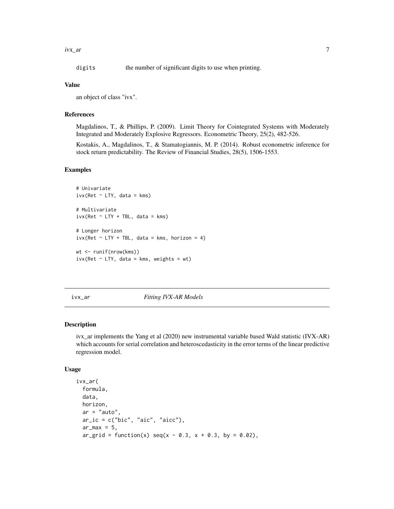<span id="page-6-0"></span>ivx\_ar 7

digits the number of significant digits to use when printing.

#### Value

an object of class "ivx".

#### References

Magdalinos, T., & Phillips, P. (2009). Limit Theory for Cointegrated Systems with Moderately Integrated and Moderately Explosive Regressors. Econometric Theory, 25(2), 482-526.

Kostakis, A., Magdalinos, T., & Stamatogiannis, M. P. (2014). Robust econometric inference for stock return predictability. The Review of Financial Studies, 28(5), 1506-1553.

#### Examples

```
# Univariate
ivx(Ret ~ LTY, data = kms)# Multivariate
ivx(Ret ~ TTY + TBL, data = kms)# Longer horizon
ivx(Ret ~ LTY + TBL, data = kms, horizon = 4)wt <- runif(nrow(kms))
ivx(Ret ~ LTY, data = kms, weights = wt)
```
ivx\_ar *Fitting IVX-AR Models*

#### Description

ivx\_ar implements the Yang et al (2020) new instrumental variable based Wald statistic (IVX-AR) which accounts for serial correlation and heteroscedasticity in the error terms of the linear predictive regression model.

#### Usage

```
ivx_ar(
  formula,
  data,
 horizon,
  ar = "auto",ar\_ic = c("bic", "aic", "aicc"),ar_max = 5,
  ar\_grid = function(x) seq(x - 0.3, x + 0.3, by = 0.02),
```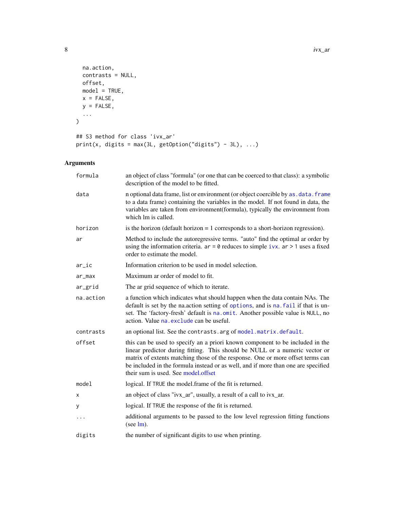```
na.action,
  contrasts = NULL,
  offset,
  model = TRUE,x = FALSE,
  y = FALSE,
  ...
\lambda## S3 method for class 'ivx_ar'
print(x, digits = max(3L, getOption("digits") - 3L), ...)
```

| formula   | an object of class "formula" (or one that can be coerced to that class): a symbolic<br>description of the model to be fitted.                                                                                                                                                                                                                                              |
|-----------|----------------------------------------------------------------------------------------------------------------------------------------------------------------------------------------------------------------------------------------------------------------------------------------------------------------------------------------------------------------------------|
| data      | n optional data frame, list or environment (or object coercible by as . data. frame<br>to a data frame) containing the variables in the model. If not found in data, the<br>variables are taken from environment(formula), typically the environment from<br>which lm is called.                                                                                           |
| horizon   | is the horizon (default horizon $= 1$ corresponds to a short-horizon regression).                                                                                                                                                                                                                                                                                          |
| ar        | Method to include the autoregressive terms. "auto" find the optimal ar order by<br>using the information criteria. $ar = 0$ reduces to simple ivx. $ar > 1$ uses a fixed<br>order to estimate the model.                                                                                                                                                                   |
| $ar\_ic$  | Information criterion to be used in model selection.                                                                                                                                                                                                                                                                                                                       |
| ar_max    | Maximum ar order of model to fit.                                                                                                                                                                                                                                                                                                                                          |
| ar_grid   | The ar grid sequence of which to iterate.                                                                                                                                                                                                                                                                                                                                  |
| na.action | a function which indicates what should happen when the data contain NAs. The<br>default is set by the na.action setting of options, and is na. fail if that is un-<br>set. The 'factory-fresh' default is na.omit. Another possible value is NULL, no<br>action. Value na exclude can be useful.                                                                           |
| contrasts | an optional list. See the contrasts. arg of model. matrix. default.                                                                                                                                                                                                                                                                                                        |
| offset    | this can be used to specify an a priori known component to be included in the<br>linear predictor during fitting. This should be NULL or a numeric vector or<br>matrix of extents matching those of the response. One or more offset terms can<br>be included in the formula instead or as well, and if more than one are specified<br>their sum is used. See model offset |
| model     | logical. If TRUE the model.frame of the fit is returned.                                                                                                                                                                                                                                                                                                                   |
| х         | an object of class "ivx_ar", usually, a result of a call to ivx_ar.                                                                                                                                                                                                                                                                                                        |
| у         | logical. If TRUE the response of the fit is returned.                                                                                                                                                                                                                                                                                                                      |
| $\cdot$   | additional arguments to be passed to the low level regression fitting functions<br>(see $lm$ ).                                                                                                                                                                                                                                                                            |
| digits    | the number of significant digits to use when printing.                                                                                                                                                                                                                                                                                                                     |

<span id="page-7-0"></span>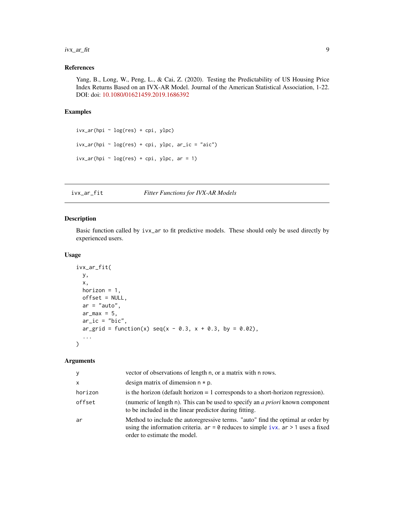#### <span id="page-8-0"></span>ivx\_ar\_fit 9

#### References

Yang, B., Long, W., Peng, L., & Cai, Z. (2020). Testing the Predictability of US Housing Price Index Returns Based on an IVX-AR Model. Journal of the American Statistical Association, 1-22. DOI: doi: [10.1080/01621459.2019.1686392](https://doi.org/10.1080/01621459.2019.1686392)

#### Examples

```
ivx_ar(hpi ~ log(res) + cpi, ylpc)ivx_ar(hpi ~ log(res) + cpi, ylpc, ar_ic = "aic")
ivx_ar(hpi ~ log(res) + cpi, ylpc, ar = 1)
```
#### ivx\_ar\_fit *Fitter Functions for IVX-AR Models*

#### Description

Basic function called by ivx\_ar to fit predictive models. These should only be used directly by experienced users.

#### Usage

```
ivx_ar_fit(
 y,
 x,
 horizon = 1,
 offset = NULL,
 ar = "auto",ar_max = 5,
 ar\_ic = "bic",ar\_grid = function(x) seq(x - 0.3, x + 0.3, by = 0.02),
  ...
)
```

| y            | vector of observations of length n, or a matrix with n rows.                                                                                                                                             |
|--------------|----------------------------------------------------------------------------------------------------------------------------------------------------------------------------------------------------------|
| $\mathsf{x}$ | design matrix of dimension $n * p$ .                                                                                                                                                                     |
| horizon      | is the horizon (default horizon $= 1$ corresponds to a short-horizon regression).                                                                                                                        |
| offset       | (numeric of length n). This can be used to specify an <i>a priori</i> known component<br>to be included in the linear predictor during fitting.                                                          |
| ar           | Method to include the autoregressive terms. "auto" find the optimal ar order by<br>using the information criteria. $ar = 0$ reduces to simple ivx. $ar > 1$ uses a fixed<br>order to estimate the model. |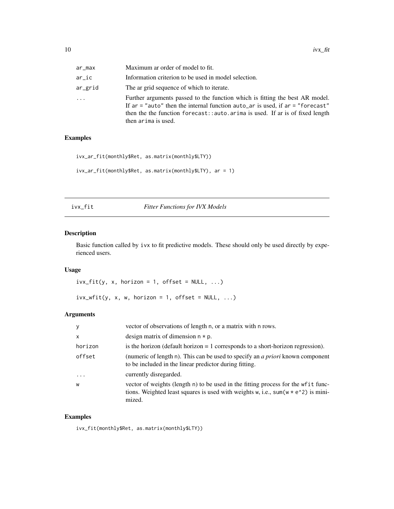<span id="page-9-0"></span>

| ar_max  | Maximum ar order of model to fit.                                                                                                                                                                                                                                       |
|---------|-------------------------------------------------------------------------------------------------------------------------------------------------------------------------------------------------------------------------------------------------------------------------|
| ar_ic   | Information criterion to be used in model selection.                                                                                                                                                                                                                    |
| ar_grid | The ar grid sequence of which to iterate.                                                                                                                                                                                                                               |
| .       | Further arguments passed to the function which is fitting the best AR model.<br>If $ar =$ "auto" then the internal function auto_ar is used, if $ar =$ "forecast"<br>then the function forecast: : auto. arima is used. If ar is of fixed length<br>then arima is used. |

#### Examples

```
ivx_ar_fit(monthly$Ret, as.matrix(monthly$LTY))
ivx_ar_fit(monthly$Ret, as.matrix(monthly$LTY), ar = 1)
```

| 1 V X | fi<br>t |
|-------|---------|
|       |         |

**Fitter Functions for IVX Models** 

#### Description

Basic function called by ivx to fit predictive models. These should only be used directly by experienced users.

#### Usage

```
ivx_fit(y, x, horizon = 1, offset = NULL, ...)
```

```
ivx_wfit(y, x, w, horizon = 1, offset = NULL, ...)
```
#### Arguments

| y            | vector of observations of length n, or a matrix with n rows.                                                                                                                       |
|--------------|------------------------------------------------------------------------------------------------------------------------------------------------------------------------------------|
| $\mathsf{x}$ | design matrix of dimension $n * p$ .                                                                                                                                               |
| horizon      | is the horizon (default horizon $= 1$ corresponds to a short-horizon regression).                                                                                                  |
| offset       | (numeric of length n). This can be used to specify an <i>a priori</i> known component<br>to be included in the linear predictor during fitting.                                    |
| $\ddots$ .   | currently disregarded.                                                                                                                                                             |
| W            | vector of weights (length n) to be used in the fitting process for the wfit func-<br>tions. Weighted least squares is used with weights w, i.e., $sum(w * e^2)$ is mini-<br>mized. |

#### Examples

ivx\_fit(monthly\$Ret, as.matrix(monthly\$LTY))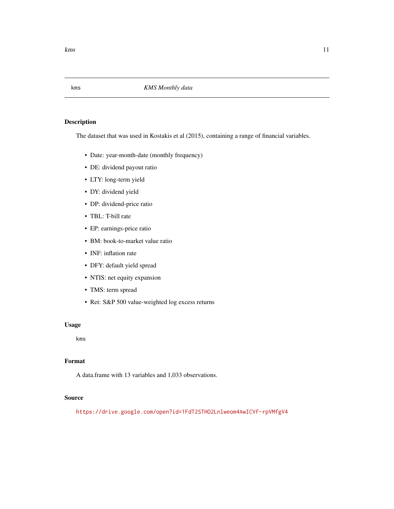<span id="page-10-0"></span>

The dataset that was used in Kostakis et al (2015), containing a range of financial variables.

- Date: year-month-date (monthly frequency)
- DE: dividend payout ratio
- LTY: long-term yield
- DY: dividend yield
- DP: dividend-price ratio
- TBL: T-bill rate
- EP: earnings-price ratio
- BM: book-to-market value ratio
- INF: inflation rate
- DFY: default yield spread
- NTIS: net equity expansion
- TMS: term spread
- Ret: S&P 500 value-weighted log excess returns

#### Usage

kms

#### Format

A data.frame with 13 variables and 1,033 observations.

#### Source

<https://drive.google.com/open?id=1FdT2STHO2Lnlweom4AwICVf-rpVMfgV4>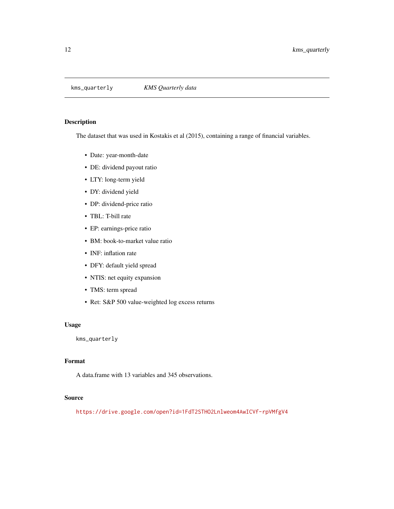<span id="page-11-0"></span>

The dataset that was used in Kostakis et al (2015), containing a range of financial variables.

- Date: year-month-date
- DE: dividend payout ratio
- LTY: long-term yield
- DY: dividend yield
- DP: dividend-price ratio
- TBL: T-bill rate
- EP: earnings-price ratio
- BM: book-to-market value ratio
- INF: inflation rate
- DFY: default yield spread
- NTIS: net equity expansion
- TMS: term spread
- Ret: S&P 500 value-weighted log excess returns

#### Usage

kms\_quarterly

#### Format

A data.frame with 13 variables and 345 observations.

#### Source

<https://drive.google.com/open?id=1FdT2STHO2Lnlweom4AwICVf-rpVMfgV4>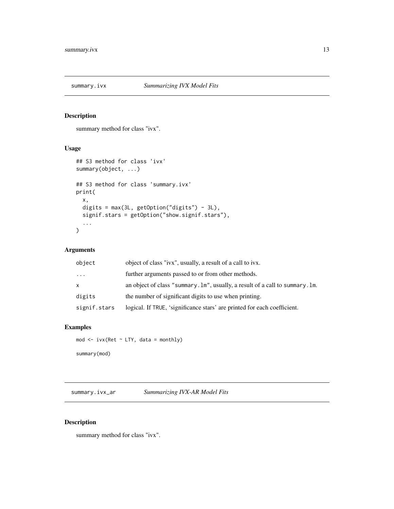<span id="page-12-0"></span>

summary method for class "ivx".

#### Usage

```
## S3 method for class 'ivx'
summary(object, ...)
## S3 method for class 'summary.ivx'
print(
  x,
  digits = max(3L, getOption("digits") - 3L),
  signif.stars = getOption("show.signif.stars"),
  ...
\overline{\phantom{a}}
```
#### Arguments

| object       | object of class "ivx", usually, a result of a call to ivx.                    |
|--------------|-------------------------------------------------------------------------------|
| $\cdots$     | further arguments passed to or from other methods.                            |
| $\mathsf{x}$ | an object of class "summary. Im", usually, a result of a call to summary. Im. |
| digits       | the number of significant digits to use when printing.                        |
| signif.stars | logical. If TRUE, 'significance stars' are printed for each coefficient.      |

#### Examples

mod  $\le$  ivx(Ret  $\sim$  LTY, data = monthly) summary(mod)

summary.ivx\_ar *Summarizing IVX-AR Model Fits*

#### Description

summary method for class "ivx".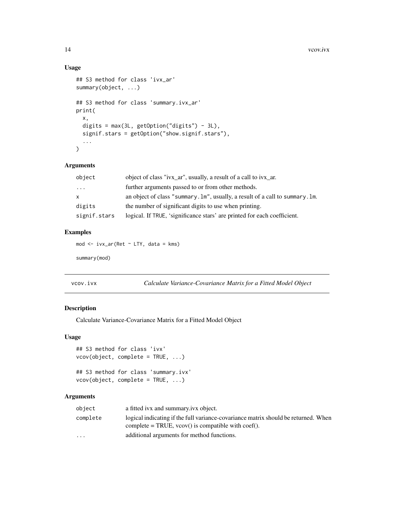#### Usage

```
## S3 method for class 'ivx_ar'
summary(object, ...)
## S3 method for class 'summary.ivx_ar'
print(
 x,
 digits = max(3L, getOption("digits") - 3L),
 signif.stars = getOption("show.signif.stars"),
  ...
)
```
#### Arguments

| object       | object of class "ivx_ar", usually, a result of a call to ivx_ar.              |
|--------------|-------------------------------------------------------------------------------|
| .            | further arguments passed to or from other methods.                            |
| $\mathsf{x}$ | an object of class "summary. Im", usually, a result of a call to summary. Im. |
| digits       | the number of significant digits to use when printing.                        |
| signif.stars | logical. If TRUE, 'significance stars' are printed for each coefficient.      |

#### Examples

mod <- ivx\_ar(Ret ~ LTY, data = kms)

summary(mod)

| Calculate Variance-Covariance Matrix for a Fitted Model Object |
|----------------------------------------------------------------|
|                                                                |

#### Description

Calculate Variance-Covariance Matrix for a Fitted Model Object

#### Usage

```
## S3 method for class 'ivx'
vcov(object, complete = TRUE, ...)
## S3 method for class 'summary.ivx'
vcov(object, complete = TRUE, ...)
```

| object                  | a fitted ivx and summary ivx object.                                                                                                       |
|-------------------------|--------------------------------------------------------------------------------------------------------------------------------------------|
| complete                | logical indicating if the full variance-covariance matrix should be returned. When<br>complete = TRUE, $vcov()$ is compatible with coef(). |
| $\cdot$ $\cdot$ $\cdot$ | additional arguments for method functions.                                                                                                 |

<span id="page-13-0"></span>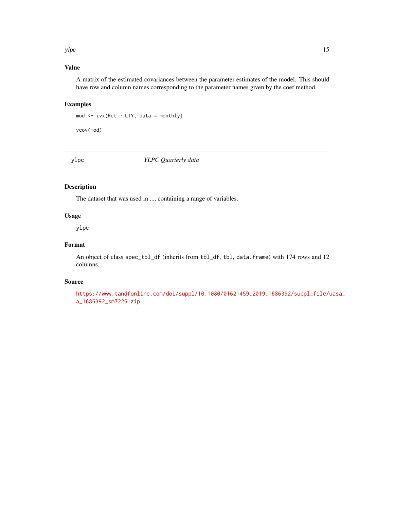#### <span id="page-14-0"></span> $y$ lpc  $15$

#### Value

A matrix of the estimated covariances between the parameter estimates of the model. This should have row and column names corresponding to the parameter names given by the coef method.

#### Examples

mod <- ivx(Ret ~ LTY, data = monthly)

vcov(mod)

ylpc *YLPC Quarterly data*

#### Description

The dataset that was used in ..., containing a range of variables.

#### Usage

ylpc

#### Format

An object of class spec\_tbl\_df (inherits from tbl\_df, tbl, data.frame) with 174 rows and 12 columns.

#### Source

```
https://www.tandfonline.com/doi/suppl/10.1080/01621459.2019.1686392/suppl_file/uasa_
a_1686392_sm7226.zip
```